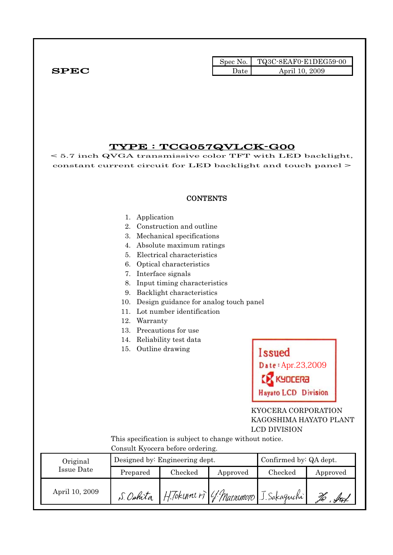|              | Spec No. | $\blacksquare$ TQ3C-8EAF0-E1DEG59-00 |
|--------------|----------|--------------------------------------|
| ${\bf SPEC}$ | Date     | April 10, 2009                       |

## TYPE : TCG057QVLCK-G00

< 5.7 inch QVGA transmissive color TFT with LED backlight, constant current circuit for LED backlight and touch panel >

#### **CONTENTS**

- 1. Application
- 2. Construction and outline
- 3. Mechanical specifications
- 4. Absolute maximum ratings
- 5. Electrical characteristics
- 6. Optical characteristics
- 7. Interface signals
- 8. Input timing characteristics
- 9. Backlight characteristics
- 10. Design guidance for analog touch panel
- 11. Lot number identification
- 12. Warranty
- 13. Precautions for use
- 14. Reliability test data
- 15. Outline drawing



 KYOCERA CORPORATION KAGOSHIMA HAYATO PLANT LCD DIVISION

 This specification is subject to change without notice. Consult Kyocera before ordering.

| Original       |          | Designed by: Engineering dept.                  |          | Confirmed by: QA dept. |          |  |
|----------------|----------|-------------------------------------------------|----------|------------------------|----------|--|
| Issue Date     | Prepared | Checked                                         | Approved | Checked                | Approved |  |
| April 10, 2009 |          | S. Oshita H. Tokune ri 4 Macromoro J. Sakaguchi |          |                        |          |  |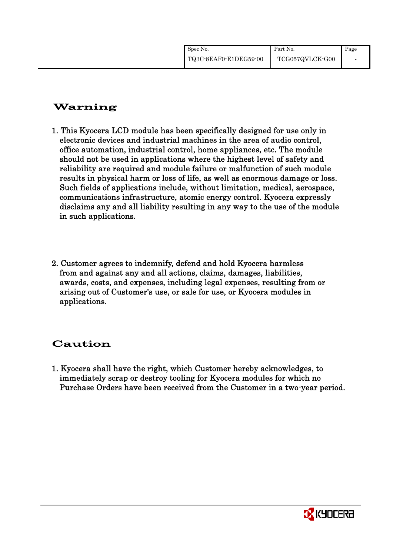| Spec No.              | Part No.        | Page |
|-----------------------|-----------------|------|
| TQ3C-8EAF0-E1DEG59-00 | TCG057QVLCK-G00 |      |

## Warning

- 1. This Kyocera LCD module has been specifically designed for use only in electronic devices and industrial machines in the area of audio control, office automation, industrial control, home appliances, etc. The module should not be used in applications where the highest level of safety and reliability are required and module failure or malfunction of such module results in physical harm or loss of life, as well as enormous damage or loss. Such fields of applications include, without limitation, medical, aerospace, communications infrastructure, atomic energy control. Kyocera expressly disclaims any and all liability resulting in any way to the use of the module in such applications.
- 2. Customer agrees to indemnify, defend and hold Kyocera harmless from and against any and all actions, claims, damages, liabilities, awards, costs, and expenses, including legal expenses, resulting from or arising out of Customer's use, or sale for use, or Kyocera modules in applications.

## Caution

1. Kyocera shall have the right, which Customer hereby acknowledges, to immediately scrap or destroy tooling for Kyocera modules for which no Purchase Orders have been received from the Customer in a two-year period.

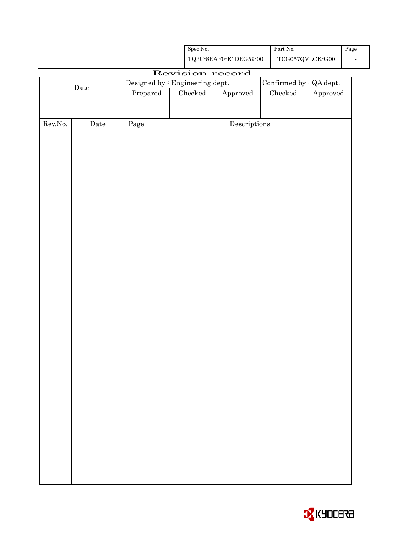|                  |                      |                                 |  | ${\rm Spec}$ No. |                                                    | $\operatorname{Part}$ No. |                                         | Page |
|------------------|----------------------|---------------------------------|--|------------------|----------------------------------------------------|---------------------------|-----------------------------------------|------|
|                  |                      |                                 |  |                  | ${\bf TQ3C\text{-}SEAF0\text{-}E1DEG59\text{-}00}$ |                           | $\operatorname{TCG057QVLCK\text{-}G00}$ |      |
|                  |                      |                                 |  |                  | Revision record                                    |                           |                                         |      |
|                  | Date                 | Designed by : Engineering dept. |  |                  |                                                    | Confirmed by : QA dept.   |                                         |      |
|                  |                      | Prepared                        |  | $\rm Checked$    | Approved                                           | $\rm Checked$             | Approved                                |      |
|                  |                      |                                 |  |                  |                                                    |                           |                                         |      |
|                  |                      |                                 |  |                  |                                                    |                           |                                         |      |
| ${\rm Rev. No.}$ | $\rm{\textbf{Date}}$ | Page                            |  |                  | $\label{eq:2} \textbf{Descriptions}$               |                           |                                         |      |
|                  |                      |                                 |  |                  |                                                    |                           |                                         |      |
|                  |                      |                                 |  |                  |                                                    |                           |                                         |      |
|                  |                      |                                 |  |                  |                                                    |                           |                                         |      |
|                  |                      |                                 |  |                  |                                                    |                           |                                         |      |
|                  |                      |                                 |  |                  |                                                    |                           |                                         |      |
|                  |                      |                                 |  |                  |                                                    |                           |                                         |      |
|                  |                      |                                 |  |                  |                                                    |                           |                                         |      |
|                  |                      |                                 |  |                  |                                                    |                           |                                         |      |
|                  |                      |                                 |  |                  |                                                    |                           |                                         |      |
|                  |                      |                                 |  |                  |                                                    |                           |                                         |      |
|                  |                      |                                 |  |                  |                                                    |                           |                                         |      |
|                  |                      |                                 |  |                  |                                                    |                           |                                         |      |
|                  |                      |                                 |  |                  |                                                    |                           |                                         |      |
|                  |                      |                                 |  |                  |                                                    |                           |                                         |      |
|                  |                      |                                 |  |                  |                                                    |                           |                                         |      |
|                  |                      |                                 |  |                  |                                                    |                           |                                         |      |
|                  |                      |                                 |  |                  |                                                    |                           |                                         |      |
|                  |                      |                                 |  |                  |                                                    |                           |                                         |      |
|                  |                      |                                 |  |                  |                                                    |                           |                                         |      |
|                  |                      |                                 |  |                  |                                                    |                           |                                         |      |
|                  |                      |                                 |  |                  |                                                    |                           |                                         |      |
|                  |                      |                                 |  |                  |                                                    |                           |                                         |      |
|                  |                      |                                 |  |                  |                                                    |                           |                                         |      |
|                  |                      |                                 |  |                  |                                                    |                           |                                         |      |
|                  |                      |                                 |  |                  |                                                    |                           |                                         |      |
|                  |                      |                                 |  |                  |                                                    |                           |                                         |      |
|                  |                      |                                 |  |                  |                                                    |                           |                                         |      |
|                  |                      |                                 |  |                  |                                                    |                           |                                         |      |
|                  |                      |                                 |  |                  |                                                    |                           |                                         |      |
|                  |                      |                                 |  |                  |                                                    |                           |                                         |      |
|                  |                      |                                 |  |                  |                                                    |                           |                                         |      |
|                  |                      |                                 |  |                  |                                                    |                           |                                         |      |
|                  |                      |                                 |  |                  |                                                    |                           |                                         |      |

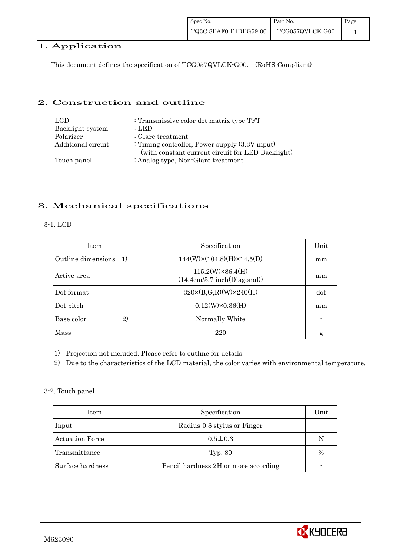## 1. Application

This document defines the specification of TCG057QVLCK-G00. (RoHS Compliant)

## 2. Construction and outline

| LCD.               | : Transmissive color dot matrix type TFT                                                               |
|--------------------|--------------------------------------------------------------------------------------------------------|
| Backlight system   | : LED                                                                                                  |
| Polarizer          | $\therefore$ Glare treatment                                                                           |
| Additional circuit | : Timing controller, Power supply $(3.3V)$ input)<br>(with constant current circuit for LED Backlight) |
| Touch panel        | : Analog type, Non-Glare treatment                                                                     |

## 3. Mechanical specifications

#### 3-1. LCD

| <b>Item</b>                        | Specification                                          | Unit |
|------------------------------------|--------------------------------------------------------|------|
| Outline dimensions<br><sup>1</sup> | $144(W)\times(104.8)(H)\times14.5(D)$                  | mm   |
| Active area                        | $115.2(W)\times86.4(H)$<br>(14.4cm/5.7 inch(Diagonal)) | mm   |
| Dot format                         | $320 \times (B, G, R)(W) \times 240(H)$                | dot  |
| Dot pitch                          | $0.12(W)\times0.36(H)$                                 | mm   |
| 2)<br>Base color                   | Normally White                                         |      |
| Mass                               | 220                                                    | g    |

1) Projection not included. Please refer to outline for details.

2) Due to the characteristics of the LCD material, the color varies with environmental temperature.

#### 3-2. Touch panel

| Item                   | Specification                        | Unit |
|------------------------|--------------------------------------|------|
| Input                  | Radius-0.8 stylus or Finger          |      |
| <b>Actuation Force</b> | $0.5 \pm 0.3$                        | N    |
| Transmittance          | Typ. 80                              | $\%$ |
| Surface hardness       | Pencil hardness 2H or more according |      |

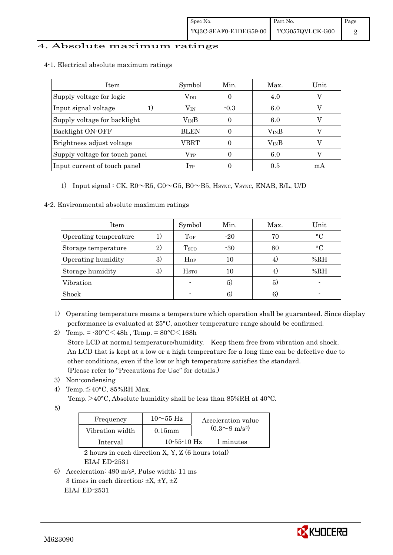## 4. Absolute maximum ratings

| <b>Item</b>                    | Symbol           | Min.     | Max.          | Unit |
|--------------------------------|------------------|----------|---------------|------|
| Supply voltage for logic       | $\rm V_{DD}$     | $\theta$ | 4.0           |      |
| Input signal voltage           | $\rm V_{\rm IN}$ | $-0.3$   | 6.0           |      |
| Supply voltage for backlight   | $\rm V_{IN}B$    | 0        | 6.0           |      |
| Backlight ON-OFF               | <b>BLEN</b>      |          | $\rm V_{IN}B$ |      |
| Brightness adjust voltage      | VBRT             |          | $\rm V_{IN}B$ |      |
| Supply voltage for touch panel | $\rm V_{TP}$     | 0        | 6.0           |      |
| Input current of touch panel   | $_{\rm ITP}$     |          | 0.5           | mA   |

4-1. Electrical absolute maximum ratings

1) Input signal : CK,  $R0 \sim R5$ ,  $G0 \sim G5$ ,  $B0 \sim B5$ ,  $H<sub>SYNC</sub>$ ,  $V<sub>SYNC</sub>$ ,  $ENAB$ ,  $R/L$ ,  $U/D$ 

#### 4-2. Environmental absolute maximum ratings

| Item                  |              | Symbol                   | Min.  | Max. | Unit      |
|-----------------------|--------------|--------------------------|-------|------|-----------|
| Operating temperature |              | Top                      | $-20$ | 70   | $\circ$ C |
| Storage temperature   | $\mathbf{2}$ | <b>T</b> <sub>STO</sub>  | $-30$ | 80   | $\circ$ C |
| Operating humidity    | 3)           | Hop                      | 10    | 4)   | %RH       |
| Storage humidity      | 3)           | <b>H</b> <sub>sto</sub>  | 10    | 4.   | %RH       |
| Vibration             |              | $\overline{\phantom{a}}$ | 5)    | 5)   |           |
| Shock                 |              |                          | 6)    | 6)   |           |

- 1) Operating temperature means a temperature which operation shall be guaranteed. Since display performance is evaluated at 25°C, another temperature range should be confirmed.
- 2) Temp. =  $-30^{\circ}$ C $<$ 48h, Temp. =  $80^{\circ}$ C $<$ 168h Store LCD at normal temperature/humidity. Keep them free from vibration and shock. An LCD that is kept at a low or a high temperature for a long time can be defective due to other conditions, even if the low or high temperature satisfies the standard. (Please refer to "Precautions for Use" for details.)
- 3) Non-condensing
- 4) Temp. $\leq 40^{\circ}$ C, 85%RH Max.
	- Temp.  $>40^{\circ}$ C, Absolute humidity shall be less than 85%RH at 40°C.
- 5)

| Frequency       | $10\sim$ 55 Hz    | Acceleration value           |
|-----------------|-------------------|------------------------------|
| Vibration width | $0.15$ mm         | $(0.3 \sim 9 \text{ m/s}^2)$ |
| Interval        | $10 - 55 - 10$ Hz | 1 minutes                    |

 2 hours in each direction X, Y, Z (6 hours total) EIAJ ED-2531

6) Acceleration: 490 m/s2, Pulse width: 11 ms 3 times in each direction:  $\pm X$ ,  $\pm Y$ ,  $\pm Z$ EIAJ ED-2531

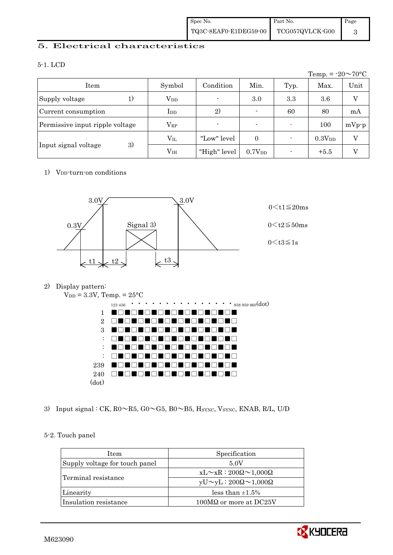## 5. Electrical characteristics

#### 5-1. LCD

|                                 |                 |                |                    |      | Temp. = $-20 \sim 70$ °C |                |
|---------------------------------|-----------------|----------------|--------------------|------|--------------------------|----------------|
| Item                            | Symbol          | Condition      | Min.               | Typ. | Max.                     | Unit           |
| Supply voltage<br>1)            | $V_{DD}$        | $\overline{a}$ | 3.0                | 3.3  | 3.6                      | $\overline{V}$ |
| Current consumption             | $_{\rm{LDD}}$   | 2)             |                    | 60   | 80                       | mA             |
| Permissive input ripple voltage | $\rm V_{RP}$    | $\overline{a}$ |                    |      | 100                      | $mVp-p$        |
|                                 | $\rm V_{II}$    | "Low" level    | $\Omega$           |      | $0.3V_{DD}$              | V              |
| 3)<br>Input signal voltage      | V <sub>IH</sub> | "High" level   | 0.7V <sub>DD</sub> |      | $+5.5$                   | V              |

## 1) V<sub>DD</sub>-turn-on conditions



## 2) Display pattern:



3) Input signal : CK,  $R0 \sim R5$ ,  $G0 \sim G5$ ,  $B0 \sim B5$ ,  $H_{\text{SYNC}}$ ,  $V_{\text{SYNC}}$ ,  $ENAB$ ,  $R/L$ ,  $U/D$ 

## 5-2. Touch panel

| <b>Item</b>                    | Specification                             |
|--------------------------------|-------------------------------------------|
| Supply voltage for touch panel | 5.0V                                      |
| Terminal resistance            | $xL \sim xR : 200\Omega \sim 1,000\Omega$ |
|                                | $yU \sim yL : 200\Omega \sim 1,000\Omega$ |
| Linearity                      | less than $\pm 1.5\%$                     |
| Insulation resistance          | 100MΩ or more at DC25V                    |

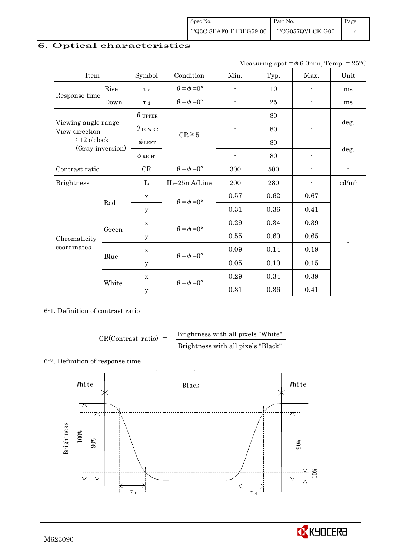## 6. Optical characteristics

Measuring spot =  $\phi$  6.0mm, Temp. = 25°C

| Item                                                                        |       | Symbol         | Condition                   | Min.                     | Typ.   | Max.           | Unit                     |
|-----------------------------------------------------------------------------|-------|----------------|-----------------------------|--------------------------|--------|----------------|--------------------------|
|                                                                             | Rise  | $\tau_r$       | $\theta = \phi = 0^{\circ}$ | $\overline{\phantom{a}}$ | 10     | $\overline{a}$ | ms                       |
| Response time<br>Down                                                       |       | $\tau$ d       | $\theta = \phi = 0^{\circ}$ | $\overline{a}$           | $25\,$ |                | ms                       |
| Viewing angle range<br>View direction<br>$: 12$ o'clock<br>(Gray inversion) |       | $\theta$ upper |                             |                          | 80     |                |                          |
|                                                                             |       | $\theta$ lower | $CR \ge 5$                  |                          | 80     |                | deg.                     |
|                                                                             |       | $\phi$ left    |                             |                          | 80     |                |                          |
|                                                                             |       | $\phi$ RIGHT   |                             | $\overline{\phantom{a}}$ | 80     | $\overline{a}$ | deg.                     |
| Contrast ratio                                                              |       | CR             | $\theta = \phi = 0^{\circ}$ | 300                      | 500    |                | $\overline{\phantom{a}}$ |
| <b>Brightness</b>                                                           |       | L              | IL=25mA/Line                | 200                      | 280    |                | cd/m <sup>2</sup>        |
|                                                                             | Red   | $\mathbf X$    | $\theta = \phi = 0^{\circ}$ | 0.57                     | 0.62   | 0.67           |                          |
|                                                                             |       | y              |                             | 0.31                     | 0.36   | 0.41           |                          |
|                                                                             |       | $\mathbf X$    | $\theta = \phi = 0^{\circ}$ | 0.29                     | 0.34   | 0.39           |                          |
| Chromaticity                                                                | Green | $\mathbf y$    |                             | 0.55                     | 0.60   | 0.65           |                          |
| coordinates                                                                 |       | $\mathbf X$    | $\theta = \phi = 0^{\circ}$ | 0.09                     | 0.14   | 0.19           |                          |
|                                                                             | Blue  | У              |                             | $0.05\,$                 | 0.10   | 0.15           |                          |
|                                                                             |       | $\mathbf X$    | $\theta = \phi = 0^{\circ}$ | 0.29                     | 0.34   | 0.39           |                          |
|                                                                             | White | $\mathbf y$    |                             | 0.31                     | 0.36   | 0.41           |                          |

6-1. Definition of contrast ratio

$$
CR(Contrast ratio) = \frac{Brightness with all pixels "White"}
$$
  
Brightness with all pixels "Black"

#### 6-2. Definition of response time



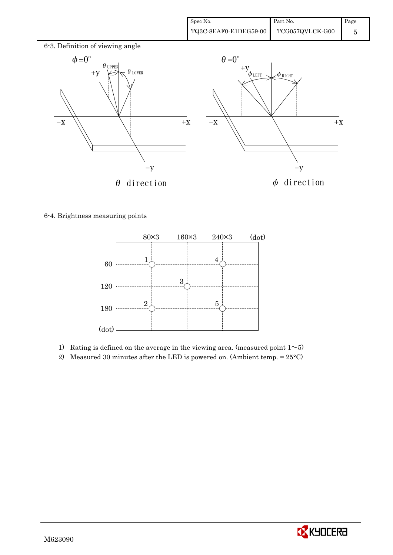

6-4. Brightness measuring points



- 1) Rating is defined on the average in the viewing area. (measured point  $1\sim 5$ )
- 2) Measured 30 minutes after the LED is powered on. (Ambient temp.  $= 25^{\circ}$ C)

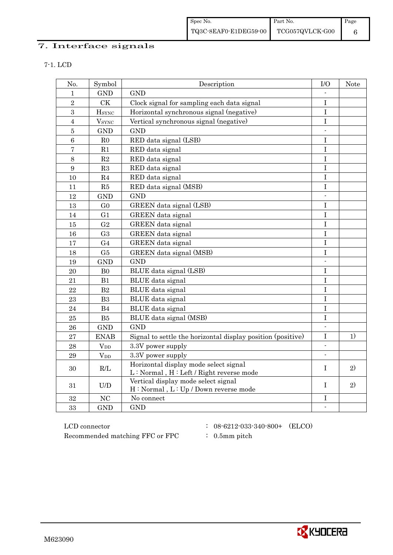# 7. Interface signals

| No.             | Symbol                   | Description                                                                        | $U$ O                    | <b>Note</b> |
|-----------------|--------------------------|------------------------------------------------------------------------------------|--------------------------|-------------|
| $\mathbf{1}$    | <b>GND</b>               | <b>GND</b>                                                                         |                          |             |
| $\overline{2}$  | <b>CK</b>                | Clock signal for sampling each data signal                                         | $\bf I$                  |             |
| 3               | <b>HSYNC</b>             | Horizontal synchronous signal (negative)                                           | $\mathbf I$              |             |
| $\overline{4}$  | <b>V</b> <sub>SYNC</sub> | Vertical synchronous signal (negative)                                             | I                        |             |
| $\overline{5}$  | <b>GND</b>               | <b>GND</b>                                                                         | $\overline{a}$           |             |
| $6\phantom{.}6$ | R <sub>0</sub>           | RED data signal (LSB)                                                              | I                        |             |
| $\overline{7}$  | R1                       | RED data signal                                                                    | I                        |             |
| $8\,$           | $\mathbf{R}2$            | RED data signal                                                                    | $\bf I$                  |             |
| 9               | R3                       | RED data signal                                                                    | I                        |             |
| 10              | R4                       | RED data signal                                                                    | I                        |             |
| 11              | R5                       | RED data signal (MSB)                                                              | I                        |             |
| 12              | <b>GND</b>               | <b>GND</b>                                                                         | $\blacksquare$           |             |
| 13              | G <sub>0</sub>           | GREEN data signal (LSB)                                                            | $\mathbf I$              |             |
| 14              | G <sub>1</sub>           | GREEN data signal                                                                  | $\mathbf I$              |             |
| 15              | G <sub>2</sub>           | GREEN data signal                                                                  | I                        |             |
| 16              | G <sub>3</sub>           | GREEN data signal                                                                  | I                        |             |
| 17              | G <sub>4</sub>           | GREEN data signal                                                                  | I                        |             |
| 18              | G5                       | GREEN data signal (MSB)                                                            | I                        |             |
| 19              | <b>GND</b>               | <b>GND</b>                                                                         |                          |             |
| 20              | B <sub>0</sub>           | BLUE data signal (LSB)                                                             | $\bf I$                  |             |
| 21              | B1                       | BLUE data signal                                                                   | I                        |             |
| 22              | B2                       | BLUE data signal                                                                   | $\mathbf I$              |             |
| 23              | B <sub>3</sub>           | <b>BLUE</b> data signal                                                            | I                        |             |
| 24              | B4                       | BLUE data signal                                                                   | $\mathbf I$              |             |
| 25              | ${\rm B}5$               | BLUE data signal (MSB)                                                             | I                        |             |
| 26              | <b>GND</b>               | <b>GND</b>                                                                         | $\overline{\phantom{a}}$ |             |
| 27              | <b>ENAB</b>              | Signal to settle the horizontal display position (positive)                        | $\mathbf I$              | 1)          |
| 28              | $V_{DD}$                 | 3.3V power supply                                                                  | $\mathbf{r}$             |             |
| 29              | $V_{DD}$                 | 3.3V power supply                                                                  | $\blacksquare$           |             |
| 30              | R/L                      | Horizontal display mode select signal<br>$L: Normal, H: Left / Right reverse mode$ | I                        | 2)          |
| 31              | U/D                      | Vertical display mode select signal<br>H: Normal, L: Up / Down reverse mode        | T                        | 2)          |
| 32              | <b>NC</b>                | No connect                                                                         | Ι                        |             |
| 33              | <b>GND</b>               | <b>GND</b>                                                                         |                          |             |

 ${\rm LCD~connector} ~~:~~08\text{-}6212\text{-}033\text{-}340\text{-}800\text{+} \quad ({\rm ELCO})$ Recommended matching FFC or FPC : 0.5mm pitch

- 
- 

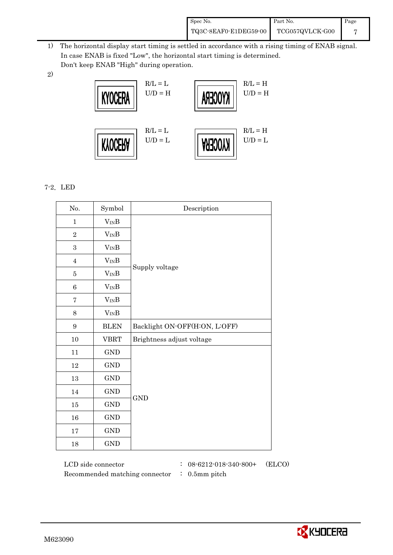| Spec No.              | Part No.        | Page |
|-----------------------|-----------------|------|
| TQ3C-8EAF0-E1DEG59-00 | TCG057QVLCK-G00 |      |

- 1) The horizontal display start timing is settled in accordance with a rising timing of ENAB signal. In case ENAB is fixed "Low", the horizontal start timing is determined. Don't keep ENAB "High" during operation.
- 2)



## 7-2.LED

| No.              | Symbol               | Description                   |  |
|------------------|----------------------|-------------------------------|--|
| $\mathbf{1}$     | $V_{IN}B$            |                               |  |
| $\overline{2}$   | $V_{IN}B$            |                               |  |
| $\boldsymbol{3}$ | $V_{IN}B$            |                               |  |
| $\overline{4}$   | $V_{IN}B$            |                               |  |
| $\overline{5}$   | $V_{IN}B$            | Supply voltage                |  |
| $\,6$            | $V_{IN}B$            |                               |  |
| $\overline{7}$   | $V_{IN}B$            |                               |  |
| 8                | $V_{IN}B$            |                               |  |
| $\boldsymbol{9}$ | <b>BLEN</b>          | Backlight ON-OFF(H:ON, L:OFF) |  |
| $10\,$           | <b>VBRT</b>          | Brightness adjust voltage     |  |
| 11               | $\operatorname{GND}$ |                               |  |
| 12               | <b>GND</b>           |                               |  |
| $13\,$           | GND                  |                               |  |
| 14               | <b>GND</b>           | <b>GND</b>                    |  |
| $15\,$           | GND                  |                               |  |
| 16               | GND                  |                               |  |
| $17\,$           | <b>GND</b>           |                               |  |
| $18\,$           | <b>GND</b>           |                               |  |

 LCD side connector : 08-6212-018-340-800+ (ELCO) Recommended matching connector : 0.5mm pitch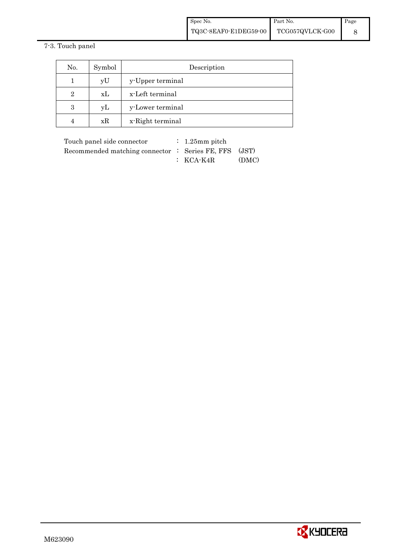## 7-3. Touch panel

| No.            | Symbol | Description      |  |  |
|----------------|--------|------------------|--|--|
|                | yU     | y-Upper terminal |  |  |
| $\overline{2}$ | xL     | x-Left terminal  |  |  |
| 3              | yL     | y-Lower terminal |  |  |
|                | xR     | x-Right terminal |  |  |

| Touch panel side connector                            | $\therefore$ 1.25 mm pitch |       |
|-------------------------------------------------------|----------------------------|-------|
| Recommended matching connector : Series FE, FFS (JST) |                            |       |
|                                                       | $\colon$ KCA-K4R           | (DMC) |

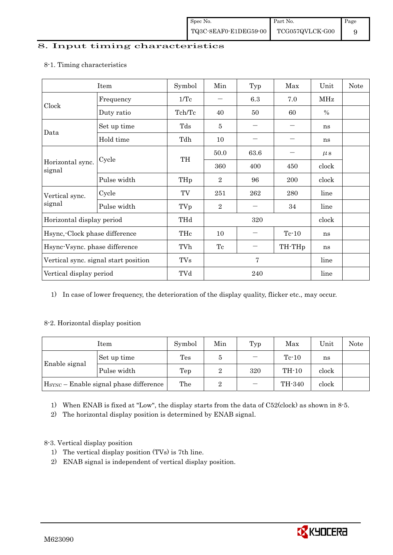## 8. Input timing characteristics

## Item Symbol Min Typ Max Unit Note Frequency  $1/Tc$   $6.3$   $7.0$  MHz Clock Duty ratio  $\begin{array}{|c|c|c|c|c|c|c|c|c|} \hline \end{array}$  Tch/Tc  $\begin{array}{|c|c|c|c|c|c|c|} \hline \end{array}$  60  $\begin{array}{|c|c|c|c|c|c|} \hline \end{array}$  % Set up time Tds 5 - - ns Data Hold time Tdh 10 - - ns  $50.0$  63.6 -  $\mu s$ Cycle TH Horizontal sync. Cycle TH 360 400 450 clock signal Pulse width  $THp \mid 2 \mid 96 \mid 200 \mid clock$ Cycle TV 251 262 280 line Vertical sync. signal Pulse width TVp 2 - 34 line Horizontal display period THd 320 clock Hsync,-Clock phase difference  $\vert$  THc  $\vert$  10  $\vert$  - Tc-10  $\vert$  ns Hsync-Vsync. phase difference  $\vert$  TVh  $\vert$  Tc  $\vert$  - TH-THp  $\vert$  ns Vertical sync. signal start position  $\begin{array}{|c|c|c|c|c|c|c|c|c|} \hline \end{array}$  TVs 7 line Vertical display period  $\overline{Y}$  TVd  $\overline{Z}$  240 line

#### 8-1. Timing characteristics

1) In case of lower frequency, the deterioration of the display quality, flicker etc., may occur.

## 8-2. Horizontal display position

| Item          |                                                    | Symbol | Min     | Typ   | Max     | Unit  | Note |
|---------------|----------------------------------------------------|--------|---------|-------|---------|-------|------|
|               | Set up time                                        | Tes    |         |       | $Te-10$ | ns    |      |
| Enable signal | Pulse width<br>320<br>Tep                          |        | $TH-10$ | clock |         |       |      |
|               | H <sub>SYNC</sub> - Enable signal phase difference |        | 2       |       | TH-340  | clock |      |

1) When ENAB is fixed at "Low", the display starts from the data of C52(clock) as shown in 8-5.

2) The horizontal display position is determined by ENAB signal.

## 8-3. Vertical display position

- 1) The vertical display position (TVs) is 7th line.
- 2) ENAB signal is independent of vertical display position.

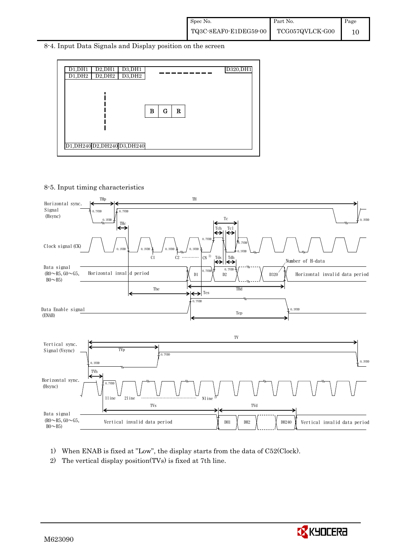8-4. Input Data Signals and Display position on the screen



8-5. Input timing characteristics



- 1) When ENAB is fixed at "Low", the display starts from the data of C52(Clock).
- 2) The vertical display position(TVs) is fixed at 7th line.

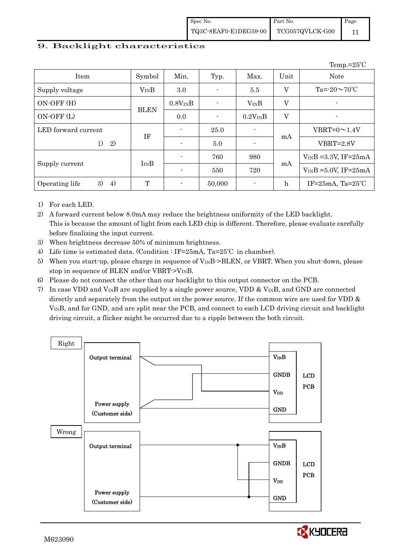## 9. Backlight characteristics

|                            |             |                |                |                          |              | Temp.= $25^{\circ}$ C      |
|----------------------------|-------------|----------------|----------------|--------------------------|--------------|----------------------------|
| Item                       | Symbol      | Min.           | Typ.           | Max.                     | Unit         | <b>Note</b>                |
| Supply voltage             | $V_{IN}B$   | 3.0            | $\blacksquare$ | 5.5                      | V            | Ta= $-20 \sim 70$ °C       |
| ON-OFF (H)                 |             | $0.8V_{IN}B$   | $\blacksquare$ | $V_{IN}B$                | $\mathbf{V}$ | ٠                          |
| ON-OFF (L)                 | <b>BLEN</b> | 0.0            | $\blacksquare$ | $0.2V_{IN}B$             | V            | ٠                          |
| LED forward current        | IF          | $\blacksquare$ | 25.0           |                          |              | $VBRT=0 \sim 1.4 V$        |
| 1)<br>2)                   |             | $\blacksquare$ | 5.0            |                          | mA           | $VBRT = 2.8V$              |
|                            | $I_{IN}B$   | $\blacksquare$ | 760            | 980                      |              | $V_{IN}B = 3.3V$ , IF=25mA |
| Supply current             |             | $\blacksquare$ | 550            | 720                      | mA           | $V_{IN}B = 5.0V$ , IF=25mA |
| 3)<br>4)<br>Operating life | T           | $\blacksquare$ | 50,000         | $\overline{\phantom{0}}$ | $\mathbf h$  | IF= $25mA$ , Ta= $25°C$    |

1) For each LED.

2) A forward current below 8.0mA may reduce the brightness uniformity of the LED backlight. This is because the amount of light from each LED chip is different. Therefore, please evaluate carefully before finalizing the input current.

- 3) When brightness decrease 50% of minimum brightness.
- 4) Life time is estimated data. (Condition : IF=25mA, Ta=25℃ in chamber).
- 5) When you start-up, please charge in sequence of V<sub>IN</sub>B->BLEN, or VBRT. When you shut-down, please stop in sequence of BLEN and/or VBRT->VINB.
- 6) Please do not connect the other than our backlight to this output connector on the PCB.
- 7) In case VDD and  $V_{IN}B$  are supplied by a single power source, VDD &  $V_{IN}B$ , and GND are connected directly and separately from the output on the power source. If the common wire are used for VDD  $\&$ VINB, and for GND, and are split near the PCB, and connect to each LCD driving circuit and backlight driving circuit, a flicker might be occurred due to a ripple between the both circuit.



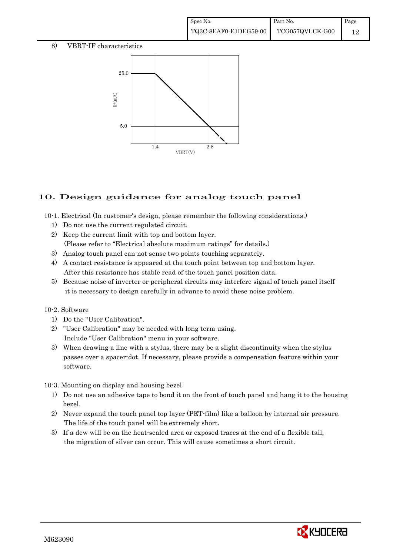#### 8) VBRT-IF characteristics



## 10. Design guidance for analog touch panel

10-1. Electrical (In customer's design, please remember the following considerations.)

- 1) Do not use the current regulated circuit.
- 2) Keep the current limit with top and bottom layer. (Please refer to "Electrical absolute maximum ratings" for details.)
- 3) Analog touch panel can not sense two points touching separately.
- 4) A contact resistance is appeared at the touch point between top and bottom layer. After this resistance has stable read of the touch panel position data.
- 5) Because noise of inverter or peripheral circuits may interfere signal of touch panel itself it is necessary to design carefully in advance to avoid these noise problem.

#### 10-2. Software

- 1) Do the "User Calibration".
- 2) "User Calibration" may be needed with long term using. Include "User Calibration" menu in your software.
- 3) When drawing a line with a stylus, there may be a slight discontinuity when the stylus passes over a spacer-dot. If necessary, please provide a compensation feature within your software.

## 10-3. Mounting on display and housing bezel

- 1) Do not use an adhesive tape to bond it on the front of touch panel and hang it to the housing bezel.
- 2) Never expand the touch panel top layer (PET-film) like a balloon by internal air pressure. The life of the touch panel will be extremely short.
- 3) If a dew will be on the heat-sealed area or exposed traces at the end of a flexible tail, the migration of silver can occur. This will cause sometimes a short circuit.

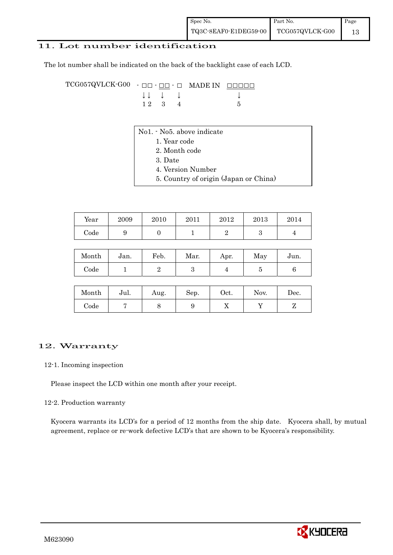### 11. Lot number identification

The lot number shall be indicated on the back of the backlight case of each LCD.

TCG057QVLCK-G00 - ŌŌ - ŌŌ - Ō MADE IN ŌŌŌŌŌ  $\downarrow \downarrow \quad \downarrow \quad \downarrow \qquad \qquad \downarrow$  $1 \ 2 \ 3 \ 4$  5

- No1. No5. above indicate
	- 1. Year code
		- 2. Month code
		- 3. Date
		- 4. Version Number
	- 5. Country of origin (Japan or China)

| Year       | 2009 | 2010 | 2011 | 2012 | 2013 | 2014 |
|------------|------|------|------|------|------|------|
| $\rm Code$ |      |      |      |      | ບ    |      |

| Month | Jan. | Feb. | Mar. | Apr. | May | Jun. |
|-------|------|------|------|------|-----|------|
| Code  |      |      |      |      |     |      |

| Month      | Jul. | Aug. | Sep. | Oct. | Nov. | $\operatorname{Dec.}$ |
|------------|------|------|------|------|------|-----------------------|
| $\rm Code$ |      |      |      | ∡⊾   |      |                       |

## 12. Warranty

#### 12-1. Incoming inspection

Please inspect the LCD within one month after your receipt.

#### 12-2. Production warranty

 Kyocera warrants its LCD's for a period of 12 months from the ship date. Kyocera shall, by mutual agreement, replace or re-work defective LCD's that are shown to be Kyocera's responsibility.

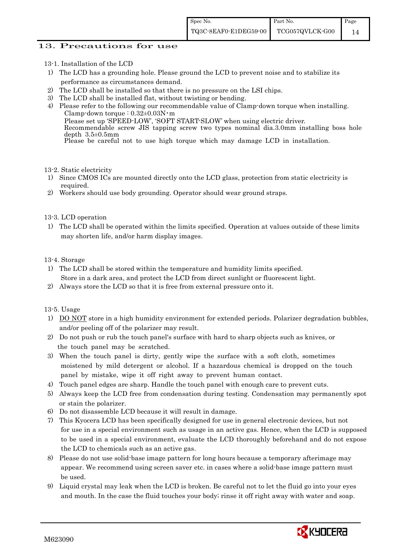### 13. Precautions for use

- 13-1. Installation of the LCD
- 1) The LCD has a grounding hole. Please ground the LCD to prevent noise and to stabilize its performance as circumstances demand.
- 2) The LCD shall be installed so that there is no pressure on the LSI chips.
- 3) The LCD shall be installed flat, without twisting or bending.
- 4) Please refer to the following our recommendable value of Clamp-down torque when installing. Clamp-down torque : 0.32±0.03N・m Please set up 'SPEED-LOW', 'SOFT START-SLOW' when using electric driver. Recommendable screw JIS tapping screw two types nominal dia.3.0mm installing boss hole depth 3.5±0.5mm Please be careful not to use high torque which may damage LCD in installation.
- 13-2. Static electricity
- 1) Since CMOS ICs are mounted directly onto the LCD glass, protection from static electricity is required.
- 2) Workers should use body grounding. Operator should wear ground straps.

#### 13-3. LCD operation

1) The LCD shall be operated within the limits specified. Operation at values outside of these limits may shorten life, and/or harm display images.

#### 13-4. Storage

- 1) The LCD shall be stored within the temperature and humidity limits specified. Store in a dark area, and protect the LCD from direct sunlight or fluorescent light.
- 2) Always store the LCD so that it is free from external pressure onto it.

13-5. Usage

- 1) DO NOT store in a high humidity environment for extended periods. Polarizer degradation bubbles, and/or peeling off of the polarizer may result.
- 2) Do not push or rub the touch panel's surface with hard to sharp objects such as knives, or the touch panel may be scratched.
- 3) When the touch panel is dirty, gently wipe the surface with a soft cloth, sometimes moistened by mild detergent or alcohol. If a hazardous chemical is dropped on the touch panel by mistake, wipe it off right away to prevent human contact.
- 4) Touch panel edges are sharp. Handle the touch panel with enough care to prevent cuts.
- 5) Always keep the LCD free from condensation during testing. Condensation may permanently spot or stain the polarizer.
- 6) Do not disassemble LCD because it will result in damage.
- 7) This Kyocera LCD has been specifically designed for use in general electronic devices, but not for use in a special environment such as usage in an active gas. Hence, when the LCD is supposed to be used in a special environment, evaluate the LCD thoroughly beforehand and do not expose the LCD to chemicals such as an active gas.
- 8) Please do not use solid-base image pattern for long hours because a temporary afterimage may appear. We recommend using screen saver etc. in cases where a solid-base image pattern must be used.
- 9) Liquid crystal may leak when the LCD is broken. Be careful not to let the fluid go into your eyes and mouth. In the case the fluid touches your body; rinse it off right away with water and soap.

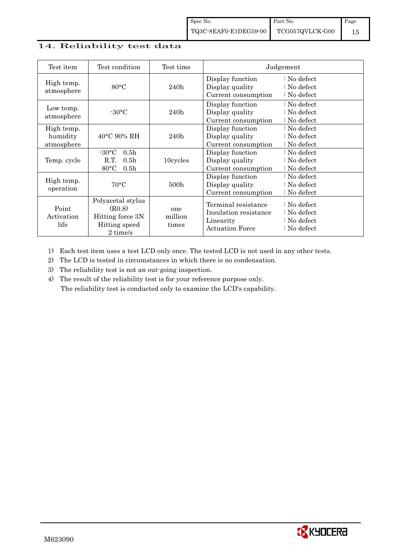## 14. Reliability test data

| Test item                            | Test condition                                                                                       | Test time               |                                                                                     | Judgement                                                                                            |
|--------------------------------------|------------------------------------------------------------------------------------------------------|-------------------------|-------------------------------------------------------------------------------------|------------------------------------------------------------------------------------------------------|
| High temp.<br>atmosphere             | 80°C                                                                                                 | 240h                    | Display function<br>Display quality<br>Current consumption                          | $\therefore$ No defect<br>$\therefore$ No defect<br>$\therefore$ No defect                           |
| Low temp.<br>atmosphere              | $-30\degree C$                                                                                       | 240h                    | Display function<br>Display quality<br>Current consumption                          | $\therefore$ No defect<br>: No defect<br>: No defect                                                 |
| High temp.<br>humidity<br>atmosphere | $40^{\circ}$ C 90% RH                                                                                | 240h                    | Display function<br>Display quality<br>Current consumption                          | $\therefore$ No defect<br>$\therefore$ No defect<br>: No defect                                      |
| Temp. cycle                          | $-30\degree C$<br>0.5 <sub>h</sub><br>R.T.<br>0.5 <sub>h</sub><br>$80^{\circ}$ C<br>0.5 <sub>h</sub> | 10cycles                | Display function<br>Display quality<br>Current consumption                          | $\therefore$ No defect<br>: No defect<br>: No defect                                                 |
| High temp.<br>operation              | $70^{\circ}$ C                                                                                       | 500h                    | Display function<br>Display quality<br>Current consumption                          | $\therefore$ No defect<br>: No defect<br>: No defect                                                 |
| Point<br>Activation<br>life          | Polyacetal stylus<br>(R0.8)<br>Hitting force 3N<br>Hitting speed<br>2 time/s                         | one<br>million<br>times | Terminal resistance<br>Insulation resistance<br>Linearity<br><b>Actuation Force</b> | $\therefore$ No defect<br>$\therefore$ No defect<br>$\therefore$ No defect<br>$\therefore$ No defect |

1) Each test item uses a test LCD only once. The tested LCD is not used in any other tests.

2) The LCD is tested in circumstances in which there is no condensation.

3) The reliability test is not an out-going inspection.

4) The result of the reliability test is for your reference purpose only. The reliability test is conducted only to examine the LCD's capability.

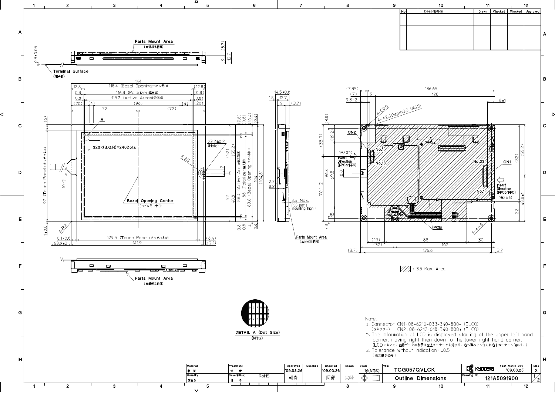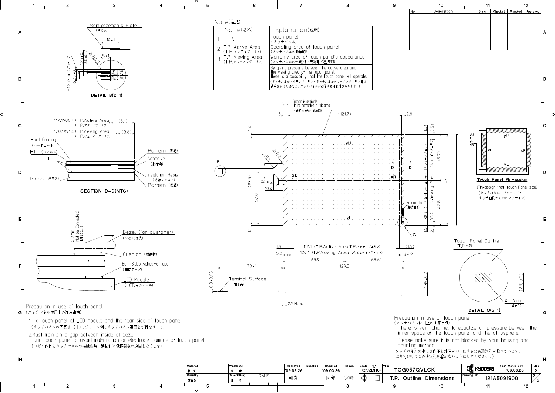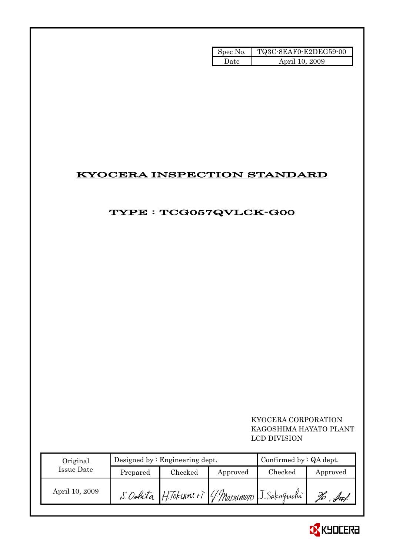| Spec No. | TQ3C-8EAF0-E2DEG59-00 |
|----------|-----------------------|
| Date     | April 10, 2009        |

## KYOCERA INSPECTION STANDARD

## TYPE : TCG057QVLCK-G00

## KYOCERA CORPORATION KAGOSHIMA HAYATO PLANT LCD DIVISION

| Original       |          | Designed by $:$ Engineering dept. | Confirmed by $:QA$ dept. |                                                   |          |
|----------------|----------|-----------------------------------|--------------------------|---------------------------------------------------|----------|
| Issue Date     | Prepared | Checked                           | Approved                 | Checked                                           | Approved |
| April 10, 2009 |          |                                   |                          | S. Oshita H. Tokunnir (4. Marsumoto J. Sakagnchi) | Ú        |

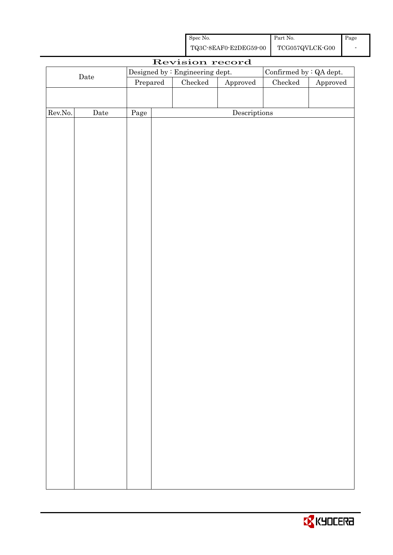| Spec No.              | <b>Part No.</b> | Page |
|-----------------------|-----------------|------|
| TQ3C-8EAF0-E2DEG59-00 | TCG057QVLCK-G00 |      |

| Revision record |             |          |  |                                 |                        |                         |          |
|-----------------|-------------|----------|--|---------------------------------|------------------------|-------------------------|----------|
|                 |             |          |  | Designed by : Engineering dept. |                        | Confirmed by : QA dept. |          |
| $\rm{Date}$     |             | Prepared |  | Checked                         | ${\Large\bf Approved}$ | $\rm Checked$           | Approved |
|                 |             |          |  |                                 |                        |                         |          |
|                 |             |          |  |                                 |                        |                         |          |
| Rev.No.         | $\rm{Date}$ | Page     |  |                                 | Descriptions           |                         |          |
|                 |             |          |  |                                 |                        |                         |          |
|                 |             |          |  |                                 |                        |                         |          |
|                 |             |          |  |                                 |                        |                         |          |
|                 |             |          |  |                                 |                        |                         |          |
|                 |             |          |  |                                 |                        |                         |          |
|                 |             |          |  |                                 |                        |                         |          |
|                 |             |          |  |                                 |                        |                         |          |
|                 |             |          |  |                                 |                        |                         |          |
|                 |             |          |  |                                 |                        |                         |          |
|                 |             |          |  |                                 |                        |                         |          |
|                 |             |          |  |                                 |                        |                         |          |
|                 |             |          |  |                                 |                        |                         |          |
|                 |             |          |  |                                 |                        |                         |          |
|                 |             |          |  |                                 |                        |                         |          |
|                 |             |          |  |                                 |                        |                         |          |
|                 |             |          |  |                                 |                        |                         |          |
|                 |             |          |  |                                 |                        |                         |          |
|                 |             |          |  |                                 |                        |                         |          |
|                 |             |          |  |                                 |                        |                         |          |
|                 |             |          |  |                                 |                        |                         |          |
|                 |             |          |  |                                 |                        |                         |          |
|                 |             |          |  |                                 |                        |                         |          |
|                 |             |          |  |                                 |                        |                         |          |
|                 |             |          |  |                                 |                        |                         |          |
|                 |             |          |  |                                 |                        |                         |          |
|                 |             |          |  |                                 |                        |                         |          |
|                 |             |          |  |                                 |                        |                         |          |
|                 |             |          |  |                                 |                        |                         |          |
|                 |             |          |  |                                 |                        |                         |          |
|                 |             |          |  |                                 |                        |                         |          |
|                 |             |          |  |                                 |                        |                         |          |
|                 |             |          |  |                                 |                        |                         |          |
|                 |             |          |  |                                 |                        |                         |          |
|                 |             |          |  |                                 |                        |                         |          |
|                 |             |          |  |                                 |                        |                         |          |

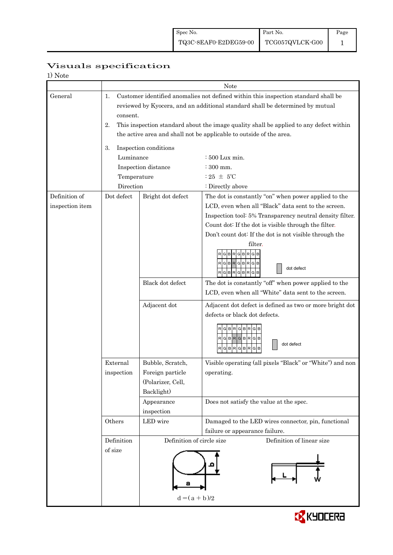| 1) Note         |             |                           |                                                                                        |  |  |  |
|-----------------|-------------|---------------------------|----------------------------------------------------------------------------------------|--|--|--|
|                 | Note        |                           |                                                                                        |  |  |  |
| General         | 1.          |                           | Customer identified anomalies not defined within this inspection standard shall be     |  |  |  |
|                 |             |                           | reviewed by Kyocera, and an additional standard shall be determined by mutual          |  |  |  |
|                 | consent.    |                           |                                                                                        |  |  |  |
|                 | 2.          |                           | This inspection standard about the image quality shall be applied to any defect within |  |  |  |
|                 |             |                           | the active area and shall not be applicable to outside of the area.                    |  |  |  |
|                 |             |                           |                                                                                        |  |  |  |
|                 | 3.          | Inspection conditions     |                                                                                        |  |  |  |
|                 | Luminance   |                           | : 500 Lux min.                                                                         |  |  |  |
|                 |             | Inspection distance       | $:300$ mm.                                                                             |  |  |  |
|                 | Temperature |                           | : 25 $\pm$ 5°C                                                                         |  |  |  |
|                 | Direction   |                           | : Directly above                                                                       |  |  |  |
| Definition of   | Dot defect  | Bright dot defect         | The dot is constantly "on" when power applied to the                                   |  |  |  |
| inspection item |             |                           | LCD, even when all "Black" data sent to the screen.                                    |  |  |  |
|                 |             |                           | Inspection tool: 5% Transparency neutral density filter.                               |  |  |  |
|                 |             |                           | Count dot: If the dot is visible through the filter.                                   |  |  |  |
|                 |             |                           | Don't count dot: If the dot is not visible through the                                 |  |  |  |
|                 |             |                           | filter.                                                                                |  |  |  |
|                 |             |                           | $G$ B $R$ $G$ B $R$ $G$ B                                                              |  |  |  |
|                 |             |                           | RGBRGBRGB                                                                              |  |  |  |
|                 |             |                           | dot defect<br>RGBRGBRGB                                                                |  |  |  |
|                 |             | Black dot defect          | The dot is constantly "off" when power applied to the                                  |  |  |  |
|                 |             |                           | LCD, even when all "White" data sent to the screen.                                    |  |  |  |
|                 |             | Adjacent dot              | Adjacent dot defect is defined as two or more bright dot                               |  |  |  |
|                 |             |                           | defects or black dot defects.                                                          |  |  |  |
|                 |             |                           |                                                                                        |  |  |  |
|                 |             |                           | RGBRGBRG                                                                               |  |  |  |
|                 |             |                           | RGBRGBRGB<br>dot defect                                                                |  |  |  |
|                 |             |                           | RGBRGBR<br>G<br>B                                                                      |  |  |  |
|                 | External    | Bubble, Scratch,          | Visible operating (all pixels "Black" or "White") and non                              |  |  |  |
|                 | inspection  | Foreign particle          | operating.                                                                             |  |  |  |
|                 |             | (Polarizer, Cell,         |                                                                                        |  |  |  |
|                 |             | Backlight)                |                                                                                        |  |  |  |
|                 |             | Appearance                | Does not satisfy the value at the spec.                                                |  |  |  |
|                 |             | inspection                |                                                                                        |  |  |  |
|                 | Others      | LED wire                  | Damaged to the LED wires connector, pin, functional                                    |  |  |  |
|                 |             |                           | failure or appearance failure.                                                         |  |  |  |
|                 | Definition  | Definition of circle size | Definition of linear size                                                              |  |  |  |
|                 | of size     |                           |                                                                                        |  |  |  |
|                 |             |                           |                                                                                        |  |  |  |
|                 |             |                           |                                                                                        |  |  |  |
|                 |             |                           |                                                                                        |  |  |  |
|                 |             |                           |                                                                                        |  |  |  |
|                 |             | $d = (a + b)/2$           |                                                                                        |  |  |  |
|                 |             |                           |                                                                                        |  |  |  |

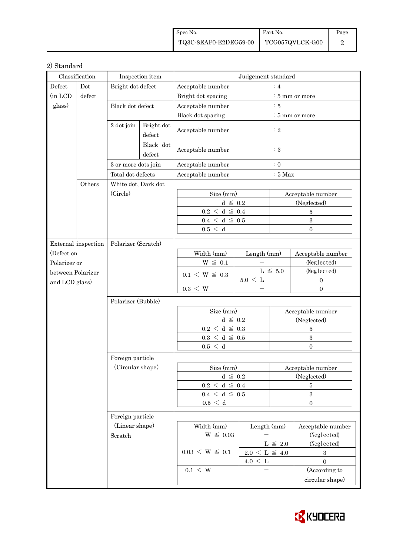| Spec No.                              | Part No. | Page |
|---------------------------------------|----------|------|
| TQ3C-8EAF0-E2DEG59-00 TCG057QVLCK-G00 |          |      |

## 2) Standard

| Classification    |                     | Inspection item     |                      | Judgement standard              |                     |                            |                   |  |
|-------------------|---------------------|---------------------|----------------------|---------------------------------|---------------------|----------------------------|-------------------|--|
| Defect            | Dot                 | Bright dot defect   |                      | Acceptable number               |                     | :4                         |                   |  |
| (in LCD           | defect              |                     |                      | Bright dot spacing              |                     | : 5 mm or more             |                   |  |
| glass)            |                     | Black dot defect    |                      | Acceptable number               |                     | $\therefore$ 5             |                   |  |
|                   |                     |                     |                      | Black dot spacing               |                     | $\frac{1}{2}$ 5 mm or more |                   |  |
|                   |                     | 2 dot join          | Bright dot<br>defect | Acceptable number               |                     | $\colon 2$                 |                   |  |
|                   |                     |                     | Black dot<br>defect  | Acceptable number               | $\colon 3$          |                            |                   |  |
|                   |                     | 3 or more dots join |                      | Acceptable number               |                     | $\colon 0$                 |                   |  |
|                   |                     | Total dot defects   |                      | Acceptable number               |                     | $:5$ Max                   |                   |  |
|                   | Others              | White dot, Dark dot |                      |                                 |                     |                            |                   |  |
|                   |                     | (Circle)            |                      | Size (mm)                       |                     |                            | Acceptable number |  |
|                   |                     |                     |                      | $d \leq 0.2$                    |                     |                            | (Neglected)       |  |
|                   |                     |                     |                      | $0.2\,<\,\mathrm{d}\,\leq\,0.4$ |                     |                            | 5                 |  |
|                   |                     |                     |                      | $0.4 \leq d \leq 0.5$           |                     |                            | $\sqrt{3}$        |  |
|                   |                     |                     |                      | 0.5 < d                         |                     |                            | $\Omega$          |  |
|                   | External inspection | Polarizer (Scratch) |                      |                                 |                     |                            |                   |  |
| (Defect on        |                     |                     |                      | Width (mm)                      | Length (mm)         |                            | Acceptable number |  |
| Polarizer or      |                     |                     |                      | $W \leq 0.1$                    |                     |                            | (Neglected)       |  |
| between Polarizer |                     |                     |                      |                                 |                     | L $\leq 5.0$               | (Neglected)       |  |
|                   |                     |                     |                      | $0.1 \le W \le 0.3$             | $5.0 \leq L$        | $\mathbf{0}$               |                   |  |
|                   | and LCD glass)      |                     | $0.3 \leq W$         |                                 |                     | $\overline{0}$             |                   |  |
|                   |                     | Polarizer (Bubble)  |                      |                                 |                     |                            |                   |  |
|                   |                     |                     |                      | Size (mm)                       |                     |                            | Acceptable number |  |
|                   |                     |                     |                      | $d \leq 0.2$                    |                     | (Neglected)                |                   |  |
|                   |                     |                     |                      | $0.2\,<\,\mathrm{d}\,\leq\,0.3$ |                     |                            | $\overline{5}$    |  |
|                   |                     |                     |                      | $0.3\,<\,\mathrm{d}\,\leq\,0.5$ |                     |                            | $\,3\,$           |  |
|                   |                     |                     |                      | 0.5 < d                         |                     |                            | $\Omega$          |  |
|                   |                     | Foreign particle    |                      |                                 |                     |                            |                   |  |
|                   |                     | (Circular shape)    |                      | Size (mm)                       |                     |                            | Acceptable number |  |
|                   |                     |                     |                      | $d~\leq~0.2$                    |                     | (Neglected)                |                   |  |
|                   |                     |                     |                      | $0.2\,<\,\mathrm{d}\,\leq\,0.4$ |                     | 5                          |                   |  |
|                   |                     |                     |                      | $0.4~\leq~\mathrm{d}~\leq~0.5$  |                     | $\boldsymbol{3}$           |                   |  |
|                   |                     |                     |                      | $0.5\,<\,$ d                    |                     |                            | $\overline{0}$    |  |
|                   |                     | Foreign particle    |                      |                                 |                     |                            |                   |  |
|                   |                     | (Linear shape)      |                      | Width (mm)                      | Length (mm)         |                            | Acceptable number |  |
|                   |                     | Scratch             |                      | $W \leq 0.03$                   |                     |                            | (Neglected)       |  |
|                   |                     |                     |                      |                                 |                     | L $\leq$ 2.0               | (Neglected)       |  |
|                   |                     |                     |                      | $0.03 \le W \le 0.1$            | $2.0 \le L \le 4.0$ |                            | $\,3$             |  |
|                   |                     |                     |                      |                                 | $4.0 \leq L$        |                            | $\boldsymbol{0}$  |  |
|                   |                     |                     |                      | $0.1 \leq W$                    |                     |                            | (According to     |  |
|                   |                     |                     |                      |                                 |                     |                            | circular shape)   |  |